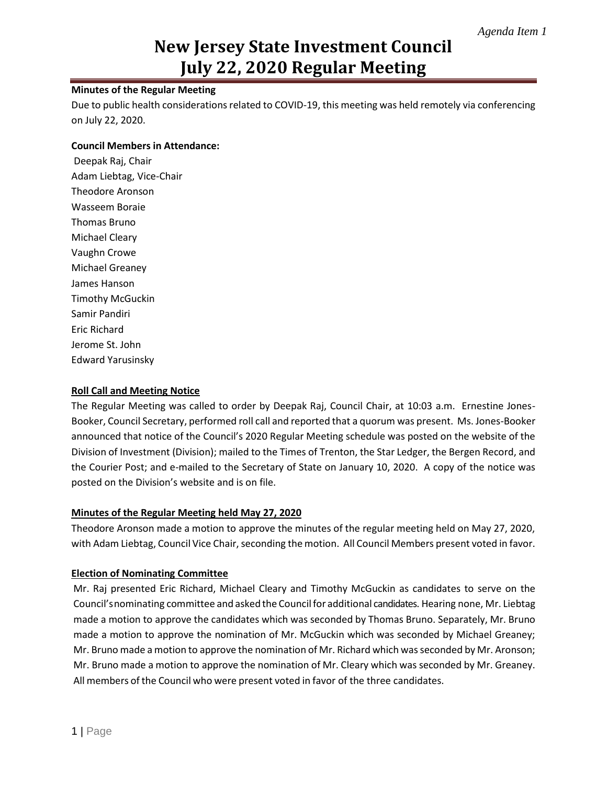# **New Jersey State Investment Council July 22, 2020 Regular Meeting**

### **Minutes of the Regular Meeting**

Due to public health considerations related to COVID-19, this meeting was held remotely via conferencing on July 22, 2020.

#### **Council Members in Attendance:**

Deepak Raj, Chair Adam Liebtag, Vice-Chair Theodore Aronson Wasseem Boraie Thomas Bruno Michael Cleary Vaughn Crowe Michael Greaney James Hanson Timothy McGuckin Samir Pandiri Eric Richard Jerome St. John Edward Yarusinsky

#### **Roll Call and Meeting Notice**

The Regular Meeting was called to order by Deepak Raj, Council Chair, at 10:03 a.m. Ernestine Jones-Booker, Council Secretary, performed roll call and reported that a quorum was present. Ms. Jones-Booker announced that notice of the Council's 2020 Regular Meeting schedule was posted on the website of the Division of Investment (Division); mailed to the Times of Trenton, the Star Ledger, the Bergen Record, and the Courier Post; and e-mailed to the Secretary of State on January 10, 2020. A copy of the notice was posted on the Division's website and is on file.

#### **Minutes of the Regular Meeting held May 27, 2020**

Theodore Aronson made a motion to approve the minutes of the regular meeting held on May 27, 2020, with Adam Liebtag, Council Vice Chair, seconding the motion. All Council Members present voted in favor.

#### **Election of Nominating Committee**

Mr. Raj presented Eric Richard, Michael Cleary and Timothy McGuckin as candidates to serve on the Council'snominating committee and asked the Councilfor additional candidates. Hearing none, Mr. Liebtag made a motion to approve the candidates which was seconded by Thomas Bruno. Separately, Mr. Bruno made a motion to approve the nomination of Mr. McGuckin which was seconded by Michael Greaney; Mr. Bruno made a motion to approve the nomination of Mr. Richard which was seconded by Mr. Aronson; Mr. Bruno made a motion to approve the nomination of Mr. Cleary which was seconded by Mr. Greaney. All members of the Council who were present voted in favor of the three candidates.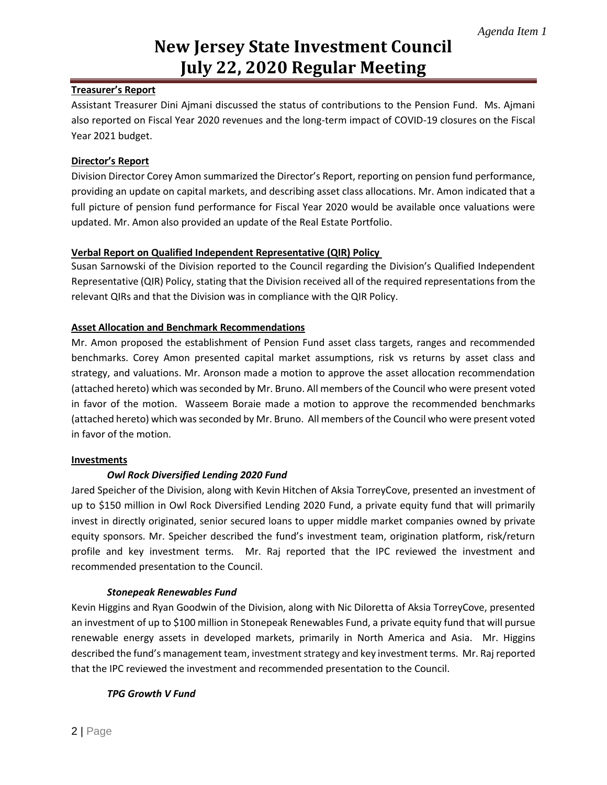# **New Jersey State Investment Council July 22, 2020 Regular Meeting**

### **Treasurer's Report**

Assistant Treasurer Dini Ajmani discussed the status of contributions to the Pension Fund. Ms. Ajmani also reported on Fiscal Year 2020 revenues and the long-term impact of COVID-19 closures on the Fiscal Year 2021 budget.

# **Director's Report**

Division Director Corey Amon summarized the Director's Report, reporting on pension fund performance, providing an update on capital markets, and describing asset class allocations. Mr. Amon indicated that a full picture of pension fund performance for Fiscal Year 2020 would be available once valuations were updated. Mr. Amon also provided an update of the Real Estate Portfolio.

# **Verbal Report on Qualified Independent Representative (QIR) Policy**

Susan Sarnowski of the Division reported to the Council regarding the Division's Qualified Independent Representative (QIR) Policy, stating that the Division received all of the required representations from the relevant QIRs and that the Division was in compliance with the QIR Policy.

# **Asset Allocation and Benchmark Recommendations**

Mr. Amon proposed the establishment of Pension Fund asset class targets, ranges and recommended benchmarks. Corey Amon presented capital market assumptions, risk vs returns by asset class and strategy, and valuations. Mr. Aronson made a motion to approve the asset allocation recommendation (attached hereto) which was seconded by Mr. Bruno. All members of the Council who were present voted in favor of the motion. Wasseem Boraie made a motion to approve the recommended benchmarks (attached hereto) which was seconded by Mr. Bruno. All members of the Council who were present voted in favor of the motion.

### **Investments**

### *Owl Rock Diversified Lending 2020 Fund*

Jared Speicher of the Division, along with Kevin Hitchen of Aksia TorreyCove, presented an investment of up to \$150 million in Owl Rock Diversified Lending 2020 Fund, a private equity fund that will primarily invest in directly originated, senior secured loans to upper middle market companies owned by private equity sponsors. Mr. Speicher described the fund's investment team, origination platform, risk/return profile and key investment terms. Mr. Raj reported that the IPC reviewed the investment and recommended presentation to the Council.

### *Stonepeak Renewables Fund*

Kevin Higgins and Ryan Goodwin of the Division, along with Nic Diloretta of Aksia TorreyCove, presented an investment of up to \$100 million in Stonepeak Renewables Fund, a private equity fund that will pursue renewable energy assets in developed markets, primarily in North America and Asia. Mr. Higgins described the fund's management team, investment strategy and key investment terms. Mr. Raj reported that the IPC reviewed the investment and recommended presentation to the Council.

### *TPG Growth V Fund*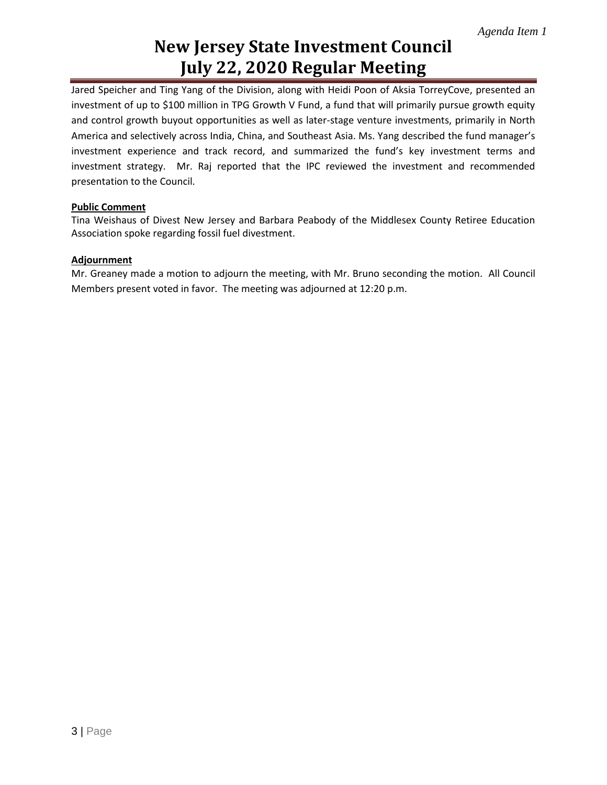# **New Jersey State Investment Council July 22, 2020 Regular Meeting**

Jared Speicher and Ting Yang of the Division, along with Heidi Poon of Aksia TorreyCove, presented an investment of up to \$100 million in TPG Growth V Fund, a fund that will primarily pursue growth equity and control growth buyout opportunities as well as later-stage venture investments, primarily in North America and selectively across India, China, and Southeast Asia. Ms. Yang described the fund manager's investment experience and track record, and summarized the fund's key investment terms and investment strategy. Mr. Raj reported that the IPC reviewed the investment and recommended presentation to the Council.

### **Public Comment**

Tina Weishaus of Divest New Jersey and Barbara Peabody of the Middlesex County Retiree Education Association spoke regarding fossil fuel divestment.

#### **Adjournment**

Mr. Greaney made a motion to adjourn the meeting, with Mr. Bruno seconding the motion. All Council Members present voted in favor. The meeting was adjourned at 12:20 p.m.